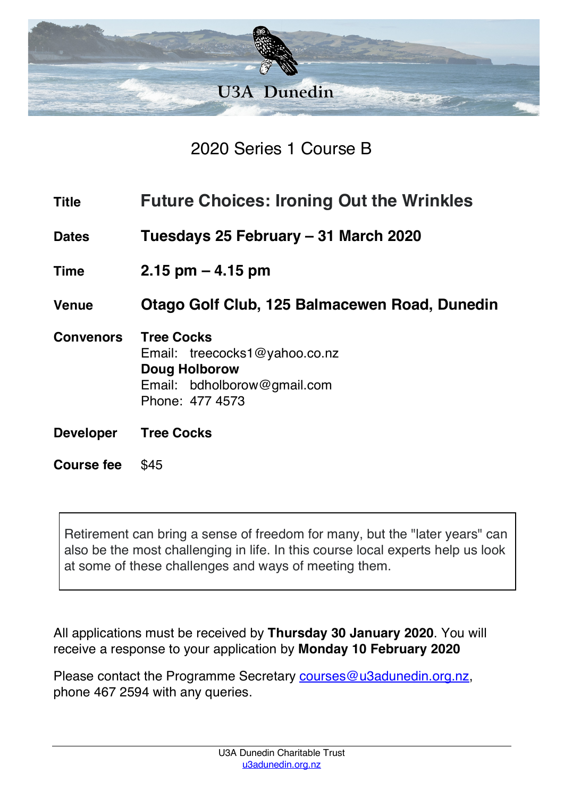

2020 Series 1 Course B

| <b>Title</b>      | <b>Future Choices: Ironing Out the Wrinkles</b>                                                                       |  |
|-------------------|-----------------------------------------------------------------------------------------------------------------------|--|
| <b>Dates</b>      | Tuesdays 25 February – 31 March 2020                                                                                  |  |
| <b>Time</b>       | $2.15$ pm $-4.15$ pm                                                                                                  |  |
| <b>Venue</b>      | Otago Golf Club, 125 Balmacewen Road, Dunedin                                                                         |  |
| <b>Convenors</b>  | <b>Tree Cocks</b><br>Email: treecocks1@yahoo.co.nz<br>Doug Holborow<br>Email: bdholborow@gmail.com<br>Phone: 477 4573 |  |
| <b>Developer</b>  | <b>Tree Cocks</b>                                                                                                     |  |
| <b>Course fee</b> | \$45                                                                                                                  |  |

Retirement can bring a sense of freedom for many, but the "later years" can also be the most challenging in life. In this course local experts help us look at some of these challenges and ways of meeting them.

All applications must be received by **Thursday 30 January 2020**. You will receive a response to your application by **Monday 10 February 2020**

Please contact the Programme Secretary courses@u3adunedin.org.nz, phone 467 2594 with any queries.